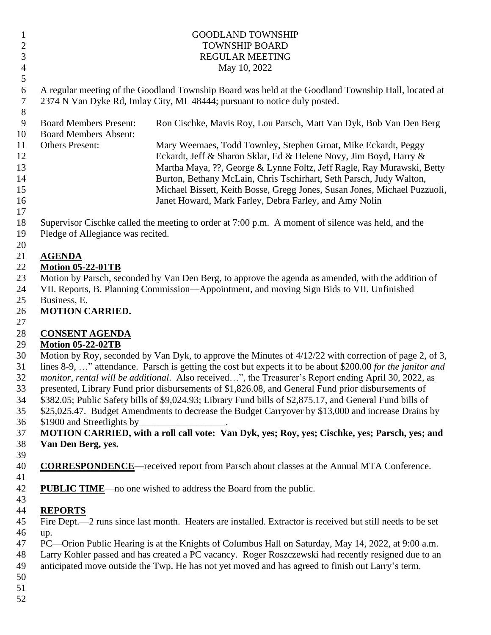#### 1 GOODLAND TOWNSHIP 2 TOWNSHIP BOARD REGULAR MEETING May 10, 2022

 A regular meeting of the Goodland Township Board was held at the Goodland Township Hall, located at 2374 N Van Dyke Rd, Imlay City, MI 48444; pursuant to notice duly posted.

 Board Members Present: Ron Cischke, Mavis Roy, Lou Parsch, Matt Van Dyk, Bob Van Den Berg Board Members Absent: Others Present: Mary Weemaes, Todd Townley, Stephen Groat, Mike Eckardt, Peggy Eckardt, Jeff & Sharon Sklar, Ed & Helene Novy, Jim Boyd, Harry & Martha Maya, ??, George & Lynne Foltz, Jeff Ragle, Ray Murawski, Betty Burton, Bethany McLain, Chris Tschirhart, Seth Parsch, Judy Walton, Michael Bissett, Keith Bosse, Gregg Jones, Susan Jones, Michael Puzzuoli, Janet Howard, Mark Farley, Debra Farley, and Amy Nolin 

 Supervisor Cischke called the meeting to order at 7:00 p.m. A moment of silence was held, and the Pledge of Allegiance was recited.

#### **AGENDA**

#### **Motion 05-22-01TB**

 Motion by Parsch, seconded by Van Den Berg, to approve the agenda as amended, with the addition of VII. Reports, B. Planning Commission—Appointment, and moving Sign Bids to VII. Unfinished

Business, E.

### **MOTION CARRIED.**

#### **CONSENT AGENDA**

#### **Motion 05-22-02TB**

 Motion by Roy, seconded by Van Dyk, to approve the Minutes of 4/12/22 with correction of page 2, of 3, lines 8-9, …" attendance. Parsch is getting the cost but expects it to be about \$200.00 *for the janitor and monitor, rental will be additional*. Also received…", the Treasurer's Report ending April 30, 2022, as

- presented, Library Fund prior disbursements of \$1,826.08, and General Fund prior disbursements of
- \$382.05; Public Safety bills of \$9,024.93; Library Fund bills of \$2,875.17, and General Fund bills of
- \$25,025.47. Budget Amendments to decrease the Budget Carryover by \$13,000 and increase Drains by
- \$1900 and Streetlights by\_\_\_\_\_\_\_\_\_\_\_\_\_\_\_\_\_\_.

 **MOTION CARRIED, with a roll call vote: Van Dyk, yes; Roy, yes; Cischke, yes; Parsch, yes; and Van Den Berg, yes.** 

- **CORRESPONDENCE—**received report from Parsch about classes at the Annual MTA Conference.
- **PUBLIC TIME**—no one wished to address the Board from the public.

#### **REPORTS**

 Fire Dept.—2 runs since last month. Heaters are installed. Extractor is received but still needs to be set up.

- PC—Orion Public Hearing is at the Knights of Columbus Hall on Saturday, May 14, 2022, at 9:00 a.m.
- Larry Kohler passed and has created a PC vacancy. Roger Roszczewski had recently resigned due to an
- anticipated move outside the Twp. He has not yet moved and has agreed to finish out Larry's term.
-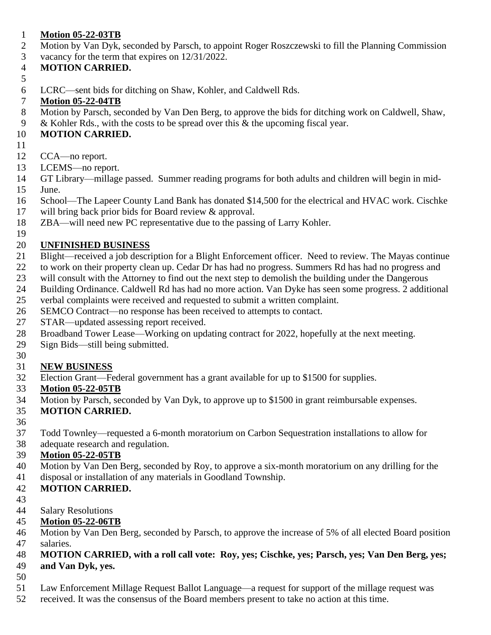#### **Motion 05-22-03TB**

- Motion by Van Dyk, seconded by Parsch, to appoint Roger Roszczewski to fill the Planning Commission
- vacancy for the term that expires on 12/31/2022.

#### **MOTION CARRIED.**

- 
- LCRC—sent bids for ditching on Shaw, Kohler, and Caldwell Rds.

# **Motion 05-22-04TB**

- Motion by Parsch, seconded by Van Den Berg, to approve the bids for ditching work on Caldwell, Shaw,
- & Kohler Rds., with the costs to be spread over this & the upcoming fiscal year.

### **MOTION CARRIED.**

- 
- CCA—no report.
- LCEMS—no report.
- GT Library—millage passed. Summer reading programs for both adults and children will begin in mid-
- June.
- School—The Lapeer County Land Bank has donated \$14,500 for the electrical and HVAC work. Cischke will bring back prior bids for Board review & approval.
- ZBA—will need new PC representative due to the passing of Larry Kohler.

#### **UNFINISHED BUSINESS**

- Blight—received a job description for a Blight Enforcement officer. Need to review. The Mayas continue
- to work on their property clean up. Cedar Dr has had no progress. Summers Rd has had no progress and
- will consult with the Attorney to find out the next step to demolish the building under the Dangerous
- Building Ordinance. Caldwell Rd has had no more action. Van Dyke has seen some progress. 2 additional
- verbal complaints were received and requested to submit a written complaint.
- SEMCO Contract—no response has been received to attempts to contact.
- STAR—updated assessing report received.
- Broadband Tower Lease—Working on updating contract for 2022, hopefully at the next meeting.
- Sign Bids—still being submitted.

# **NEW BUSINESS**

Election Grant—Federal government has a grant available for up to \$1500 for supplies.

# **Motion 05-22-05TB**

Motion by Parsch, seconded by Van Dyk, to approve up to \$1500 in grant reimbursable expenses.

# **MOTION CARRIED.**

- 
- Todd Townley—requested a 6-month moratorium on Carbon Sequestration installations to allow for
- adequate research and regulation.

# **Motion 05-22-05TB**

- Motion by Van Den Berg, seconded by Roy, to approve a six-month moratorium on any drilling for the
- disposal or installation of any materials in Goodland Township.
- **MOTION CARRIED.**
- 

#### Salary Resolutions

# **Motion 05-22-06TB**

 Motion by Van Den Berg, seconded by Parsch, to approve the increase of 5% of all elected Board position salaries.

# **MOTION CARRIED, with a roll call vote: Roy, yes; Cischke, yes; Parsch, yes; Van Den Berg, yes;**

# **and Van Dyk, yes.**

- 
- Law Enforcement Millage Request Ballot Language—a request for support of the millage request was
- received. It was the consensus of the Board members present to take no action at this time.